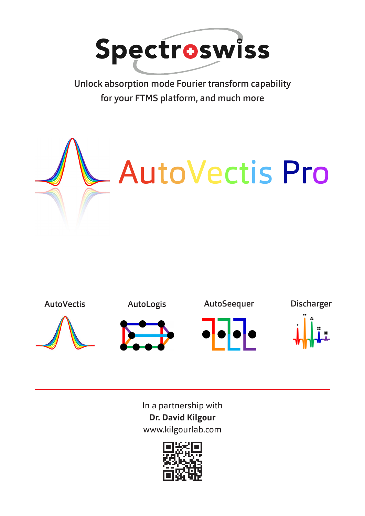

Unlock absorption mode Fourier transform capability for your FTMS platform, and much more





In a partnership with **Dr. David Kilgour** www.kilgourlab.com

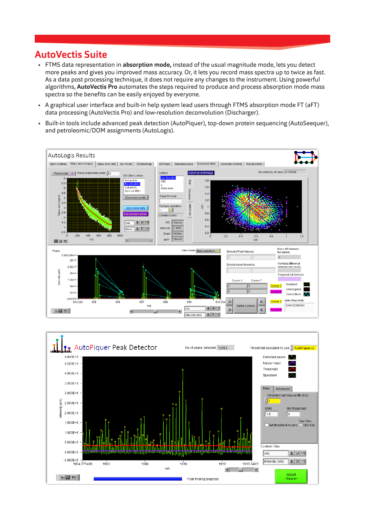# **AutoVectis Suite**

- FTMS data representation in **absorption mode,** instead of the usual magnitude mode, lets you detect more peaks and gives you improved mass accuracy. Or, it lets you record mass spectra up to twice as fast. As a data post processing technique, it does not require any changes to the instrument. Using powerful algorithms, **AutoVectis Pro** automates the steps required to produce and process absorption mode mass spectra so the benefits can be easily enjoyed by everyone.
- A graphical user interface and built-in help system lead users through FTMS absorption mode FT (aFT) data processing (AutoVectis Pro) and low-resolution deconvolution (Discharger).
- Built-in tools include advanced peak detection (AutoPiquer), top-down protein sequencing (AutoSeequer), and petroleomic/DOM assignments (AutoLogis).



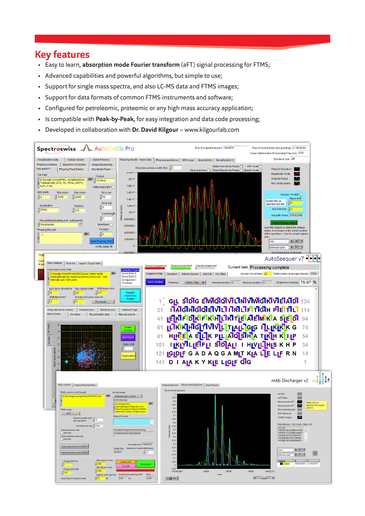## **Key features**

- Easy to learn, **absorption mode Fourier transform** (aFT) signal processing for FTMS;
- Advanced capabilities and powerful algorithms, but simple to use;
- Support for single mass spectra, and also LC-MS data and FTMS images;
- Support for data formats of common FTMS instruments and software;
- Configured for petroleomic, proteomic or any high mass accuracy application;
- Is compatible with **Peak-by-Peak,** for easy integration and data code processing;
- Developed in collaboration with **Dr. David Kilgour** www.kilgourlab.com